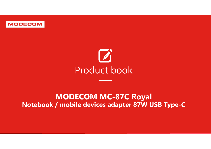

# MODECOM MC-87C Royal MODECOM MC-87C Royal<br>Notebook / mobile devices adapter 87W USB Type-C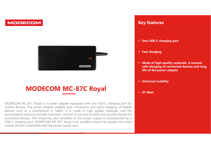

### MODECOM MC-87C Royal

MODECOM MC-87C Royal is a power adapter equipped with one USB-C charging port for **MODECOM MC-87C Royal is a power adapter equipped with one USB-C charging port for**  $\theta$  **and**  $\theta$  **and**  $\theta$  **and**  $\theta$  **and**  $\theta$  **and**  $\theta$  **and \theta Example 1999 COM COM COM COM MC-87C ROYAL**<br>
MODECOM MC-87C ROYAL<br>
MODECOM MC-87C ROYAL<br>
MODECOM MC-87C ROYAL<br>
MODECOM MC-87C ROYAL<br>
MODECOM MC-87C ROYAL<br>
MODECOM MC-87C ROYAL<br>
MODECOM MC-87C ROYAL<br>
Experimented devices. T devices such as a smartphone or tablet. It is made of high quality materials, and long such as a smartphone or tablet. It is made of high quality materials, and long and connected devices and long<br>devices such as a smartph The charging of the provide devices and long<br>
MODECOM MC-87C ROYal<br>
MODECOM MC-87C ROYal<br>
MODECOM MC-87C ROYAL<br>
MODECOM MC-87C ROYAL<br>
MODECOM MC-87C ROYAL<br>
MODECOM MC-87C ROYAL<br>
MODECOM MC-87C ROYAL<br>
Charging of total<br>
dev **CONNECT SET ASSET CONNECT SET ASSET ASSET ASSET AND DECOMMONE CONNECT ASSET AND VIOLENCE AND VIOLENCE AND VIOLENCE AND VIOLENCE AND VIOLENCE AND VIOLENCE AND VIOLENCE AND VIOLENCE AND VIOLENCE AND VIOLENCE AND VIOLENCE AN EXECUTE COM MC-87C ROYAL**<br>
MODECOM MC-87C ROYAL<br>
MODECOM MC-87C Royal is a power adapter equipped with one USB-C charging port for<br>
MODECOM MC-87C Royal is a power adapter equipped with one USB-C charging port for<br>
mobile **MODECOM MC-87C ROYAL**<br>
MODECOM MC-87C ROYAL<br>
MODECOM MC-87C ROYAL<br>
MODECOM MC-87C Royal is a power adapter equipped with one USB-C charging or tor<br>
mobile devices. The power adapter enables easy cometic on adquire with th

#### Key features

- Ney features<br>
√ One USB-C charging port<br>
√ Fast charging<br>
√ Fast charging
- $\checkmark$  Fast charging
- $\angle$  One USB-C charging port<br>  $\angle$  Fast charging<br>  $\angle$  Made of high quality materials, it ensures<br>
safe charging of connected devices and long<br>
life of the power adapter safe charging of connected devices and long life of the power adapter
- $\checkmark$  Universal usability
- $\times$  87 Watt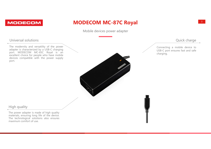

# DECOM MC-87C Royal<br>Mobile devices power adapter<br>Connecting a mobile device to MODECOM MC-87C Royal

#### Universal solutions

port.

quick charge<br>
mobile device to<br>
ures fast and safe Quick charge<br>
Connecting a mobile device to<br>
USB-C port ensures fast and safe<br>
charging. Quick charge<br>
Connecting a mobile device to<br>
USB-C port ensures fast and safe<br>
charging. charging.

#### High quality

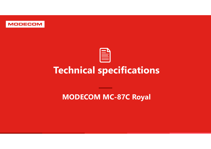

## Technical specifications

MODECOM MC-87C Royal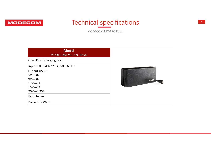

### Technical specifications

| <b>Technical specifications</b><br>COM<br>MODECOM MC-87C Royal |               |
|----------------------------------------------------------------|---------------|
| <b>Model</b><br>MODECOM MC-87C Royal                           |               |
| One USB-C charging port                                        |               |
| Input: 100-240V~2.0A, 50 - 60 Hz                               |               |
| Output USB-C:                                                  |               |
| $5V--3A$                                                       |               |
| $9V--3A$<br>$12V--3A$                                          | <b>MODECO</b> |
| $15V--3A$                                                      |               |
| 20V---4,25A                                                    |               |
| Fast charge                                                    |               |
| Power: 87 Watt                                                 |               |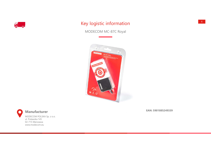

#### Key logistic information

MODECOM MC-87C Royal





Manufacturer

MODECOM POLSKA Sp. z o.o. ul. Puławska 145 02-715 Warszawa www.modecom.eu

EAN: 5901885249339